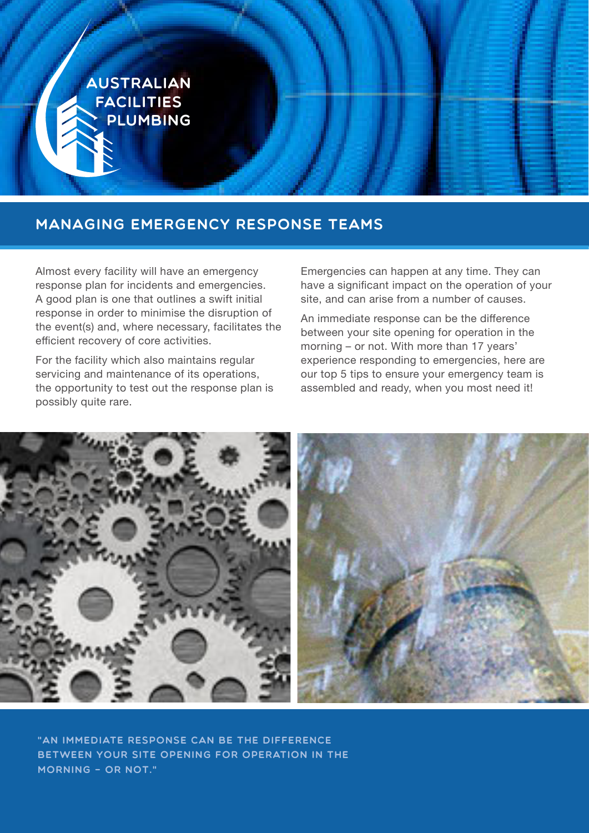

# Managing Emergency Response Teams

Almost every facility will have an emergency response plan for incidents and emergencies. A good plan is one that outlines a swift initial response in order to minimise the disruption of the event(s) and, where necessary, facilitates the efficient recovery of core activities.

For the facility which also maintains regular servicing and maintenance of its operations, the opportunity to test out the response plan is possibly quite rare.

Emergencies can happen at any time. They can have a significant impact on the operation of your site, and can arise from a number of causes.

An immediate response can be the difference between your site opening for operation in the morning – or not. With more than 17 years' experience responding to emergencies, here are our top 5 tips to ensure your emergency team is assembled and ready, when you most need it!



"An immediate response can be the difference between your site opening for operation in the morning – or not."